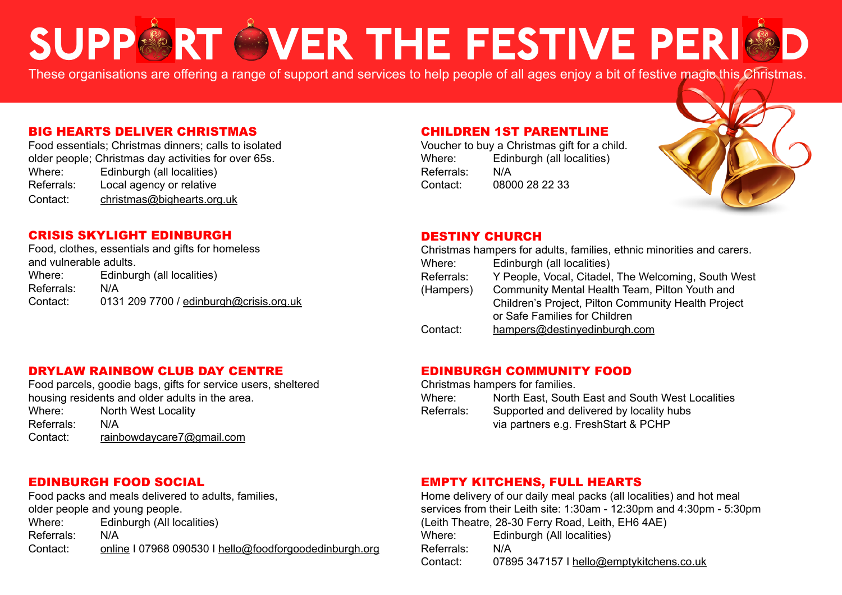# SUPPORT OVER THE FESTIVE PERIOD

These organisations are offering a range of support and services to help people of all ages enjoy a bit of festive magic this Christmas.

#### BIG HEARTS DELIVER CHRISTMAS

Food essentials; Christmas dinners; calls to isolated older people; Christmas day activities for over 65s. Edinburgh (all localities) Referrals: Local agency or relative Contact: [christmas@bighearts.org.uk](mailto:christmas%40bighearts.org.uk?subject=)

#### CRISIS SKYLIGHT EDINBURGH

Food, clothes, essentials and gifts for homeless and vulnerable adults. Where: Edinburgh (all localities) Referrals: N/A Contact: 0131 209 7700 / [edinburgh@crisis.org.uk](mailto:edinburgh%40crisis.org.uk?subject=)

#### CHILDREN 1ST PARENTLINE

Voucher to buy a Christmas gift for a child. Where: Edinburgh (all localities) Referrals: N/A Contact: 08000 28 22 33



#### DESTINY CHURCH

| Christmas hampers for adults, families, ethnic minorities and carers. |                                                     |
|-----------------------------------------------------------------------|-----------------------------------------------------|
| Where:                                                                | Edinburgh (all localities)                          |
| Referrals:                                                            | Y People, Vocal, Citadel, The Welcoming, South West |
| (Hampers)                                                             | Community Mental Health Team, Pilton Youth and      |
|                                                                       | Children's Project, Pilton Community Health Project |
|                                                                       | or Safe Families for Children                       |
| Contact:                                                              | hampers@destinyedinburgh.com                        |

#### DRYLAW RAINBOW CLUB DAY CENTRE

Food parcels, goodie bags, gifts for service users, sheltered housing residents and older adults in the area. Where: North West Locality Referrals: N/A Contact: [rainbowdaycare7@gmail.com](mailto:rainbowdaycare7%40gmail.com?subject=)

#### EDINBURGH COMMUNITY FOOD

Christmas hampers for families.

| Where:     | North East, South East and South West Localities |
|------------|--------------------------------------------------|
| Referrals: | Supported and delivered by locality hubs         |
|            | via partners e.g. FreshStart & PCHP              |

#### EDINBURGH FOOD SOCIAL

Food packs and meals delivered to adults, families, older people and young people. Where: Edinburgh (All localities) Referrals: N/A Contact: [online](https://foodforgoodedinburgh.org/free-meals) I 07968 090530 I [hello@foodforgoodedinburgh.org](mailto:hello%40foodforgoodedinburgh.org?subject=)

#### EMPTY KITCHENS, FULL HEARTS

Home delivery of our daily meal packs (all localities) and hot meal services from their Leith site: 1:30am - 12:30pm and 4:30pm - 5:30pm (Leith Theatre, 28-30 Ferry Road, Leith, EH6 4AE) Where: Edinburgh (All localities) Referrals: N/A Contact: 07895 347157 I [hello@emptykitchens.co.uk](http://hello@emptykitchens.co.uk)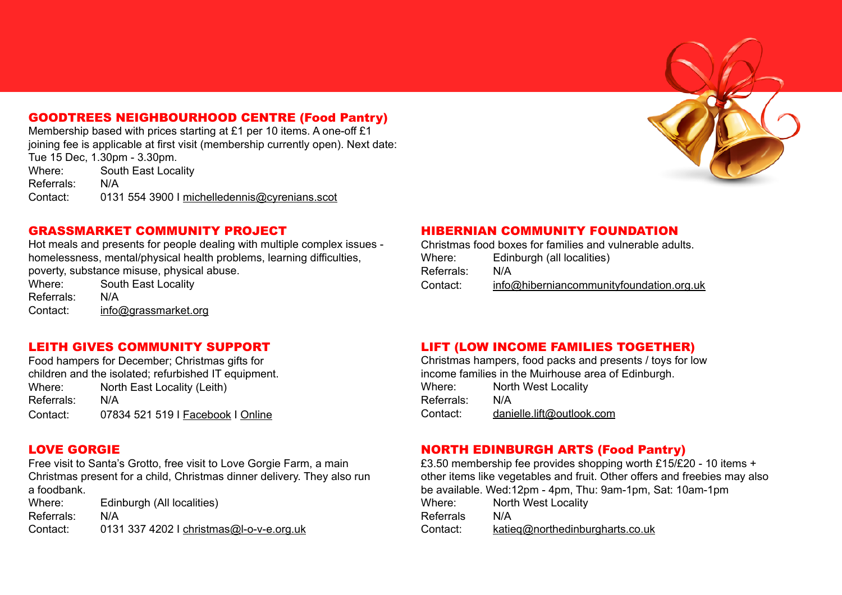### GOODTREES NEIGHBOURHOOD CENTRE (Food Pantry)

Membership based with prices starting at £1 per 10 items. A one-off £1 joining fee is applicable at first visit (membership currently open). Next date: Tue 15 Dec, 1.30pm - 3.30pm.

Where: South East Locality Referrals: N/A Contact: 0131 554 3900 I [michelledennis@cyrenians.scot](mailto:michelledennis%40cyrenians.scot?subject=)



#### GRASSMARKET COMMUNITY PROJECT

Hot meals and presents for people dealing with multiple complex issues homelessness, mental/physical health problems, learning difficulties, poverty, substance misuse, physical abuse.

Where: South East Locality Referrals: N/A Contact: [info@grassmarket.org](mailto:info%40grassmarket.org?subject=)

#### LEITH GIVES COMMUNITY SUPPORT

Food hampers for December; Christmas gifts for children and the isolated; refurbished IT equipment. Where: North East Locality (Leith) Referrals: N/A Contact: 07834 521 519 I [Facebook](https://www.facebook.com/LeithGives) I [Online](https://www.leithgives.org/get-in-touch.html)

#### LOVE GORGIE

Free visit to Santa's Grotto, free visit to Love Gorgie Farm, a main Christmas present for a child, Christmas dinner delivery. They also run a foodbank.

Where: Edinburgh (All localities) Referrals: N/A Contact: 0131 337 4202 I [christmas@l-o-v-e.org.uk](mailto:christmas%40l-o-v-e.org.uk?subject=)

#### HIBERNIAN COMMUNITY FOUNDATION

Christmas food boxes for families and vulnerable adults. Where: Edinburgh (all localities) Referrals: N/A Contact: [info@hiberniancommunityfoundation.org.uk](mailto:info%40hiberniancommunityfoundation.org.uk?subject=)

#### LIFT (LOW INCOME FAMILIES TOGETHER)

Christmas hampers, food packs and presents / toys for low income families in the Muirhouse area of Edinburgh. Where: North West Locality Referrals: N/A Contact: [danielle.lift@outlook.com](mailto:danielle.lift%40outlook.com?subject=)

#### NORTH EDINBURGH ARTS (Food Pantry)

£3.50 membership fee provides shopping worth £15/£20 - 10 items + other items like vegetables and fruit. Other offers and freebies may also be available. Wed:12pm - 4pm, Thu: 9am-1pm, Sat: 10am-1pm Where: North West Locality Referrals N/A Contact: [katieq@northedinburgharts.co.uk](mailto:katieq%40northedinburgharts.co.uk?subject=)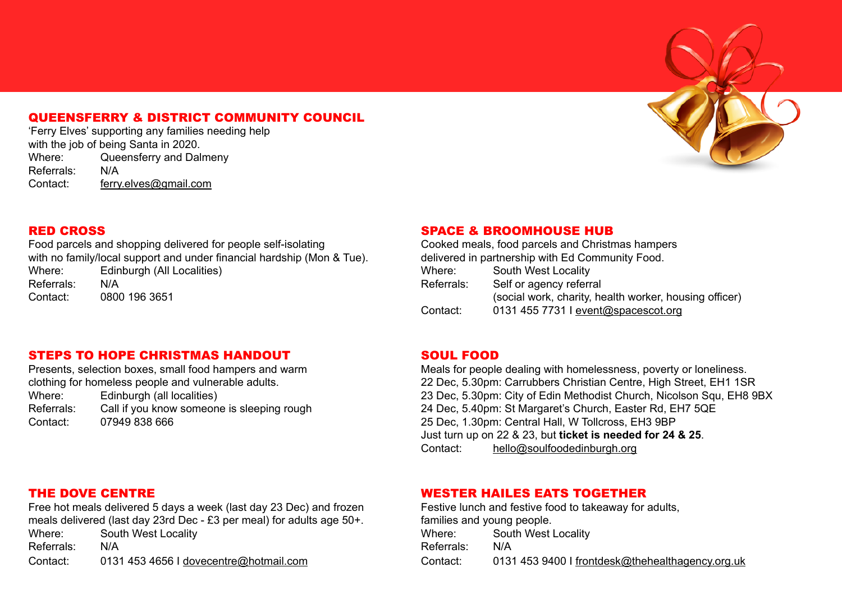#### QUEENSFERRY & DISTRICT COMMUNITY COUNCIL

'Ferry Elves' supporting any families needing help with the job of being Santa in 2020. Where: Queensferry and Dalmeny Referrals: N/A Contact: [ferry.elves@gmail.com](mailto:ferry.elves%40gmail.com?subject=)



#### RED CROSS

Food parcels and shopping delivered for people self-isolating with no family/local support and under financial hardship (Mon & Tue). Where: Edinburgh (All Localities) Referrals: N/A Contact: 0800 196 3651

#### SPACE & BROOMHOUSE HUB

Cooked meals, food parcels and Christmas hampers delivered in partnership with Ed Community Food. Where: South West Locality Referrals: Self or agency referral (social work, charity, health worker, housing officer) Contact: 0131 455 7731 I [event@spacescot.org](mailto:event%40spacescot.org?subject=)

#### STEPS TO HOPE CHRISTMAS HANDOUT

Presents, selection boxes, small food hampers and warm clothing for homeless people and vulnerable adults. Where: Edinburgh (all localities) Referrals: Call if you know someone is sleeping rough Contact: 07949 838 666

#### SOUL FOOD

Meals for people dealing with homelessness, poverty or loneliness. 22 Dec, 5.30pm: Carrubbers Christian Centre, High Street, EH1 1SR 23 Dec, 5.30pm: City of Edin Methodist Church, Nicolson Squ, EH8 9BX 24 Dec, 5.40pm: St Margaret's Church, Easter Rd, EH7 5QE 25 Dec, 1.30pm: Central Hall, W Tollcross, EH3 9BP Just turn up on 22 & 23, but **ticket is needed for 24 & 25**. Contact: hello@soulfoodedinburgh.org

#### THE DOVE CENTRE

Free hot meals delivered 5 days a week (last day 23 Dec) and frozen meals delivered (last day 23rd Dec - £3 per meal) for adults age 50+. Where: South West Locality Referrals: N/A Contact: 0131 453 4656 I [dovecentre@hotmail.com](mailto:dovecentre%40hotmail.com?subject=)

#### WESTER HAILES EATS TOGETHER

Festive lunch and festive food to takeaway for adults, families and young people. Where: South West Locality Referrals: N/A Contact: 0131 453 9400 I [frontdesk@thehealthagency.org.uk](mailto:frontdesk%40thehealthagency.org.uk?subject=)